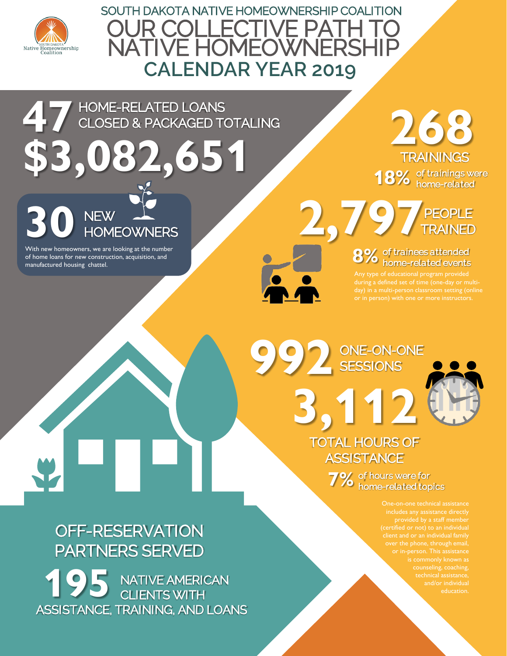

*SOUTH DAKOTA NATIVE HOMEOWNERSHIP COALITION* **OUR COLLECTIVE PATH NATIVE HOMEOWNERSH CALENDAR YEAR 2019**

*HOME-RELATED LOANS CLOSED & PACKAGED TOTALING* **47**

**\$3,082,651**

*NEW* **30** *HOMEOWNERS*

With new homeowners, we are looking at the number of home loans for new construction, acquisition, and

manufactured housing chattel.

*of trainings were*  18% of trainings w *TRAININGS* **268**

**2,797** *PEOPLE TRAINED*

> *of trainees attended*  8% of trainees attended<br>**8%** home-related events

or in person) with one or more instructors.

*ONE-ON-ONE* **992** *SESSIONS*





*of hours were for*  **7%** of hours were for<br>**7%** home-related topics

> provided by a staff member (certified or not) to an individual client and or an individual family technical assistance, education.

## *OFF-RESERVATION PARTNERS SERVED*

**195** *NATIVE AMERICAN CLIENTS WITH ASSISTANCE, TRAINING, AND LOANS*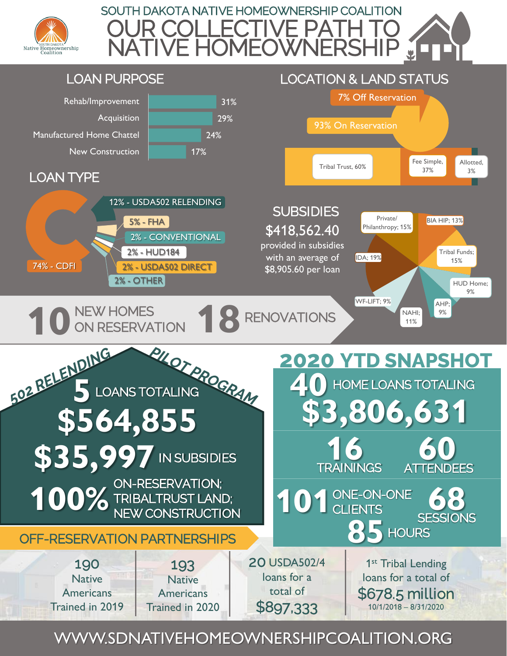





WWW.SDNATIVEHOMEOWNERSHIPCOALITION.ORG